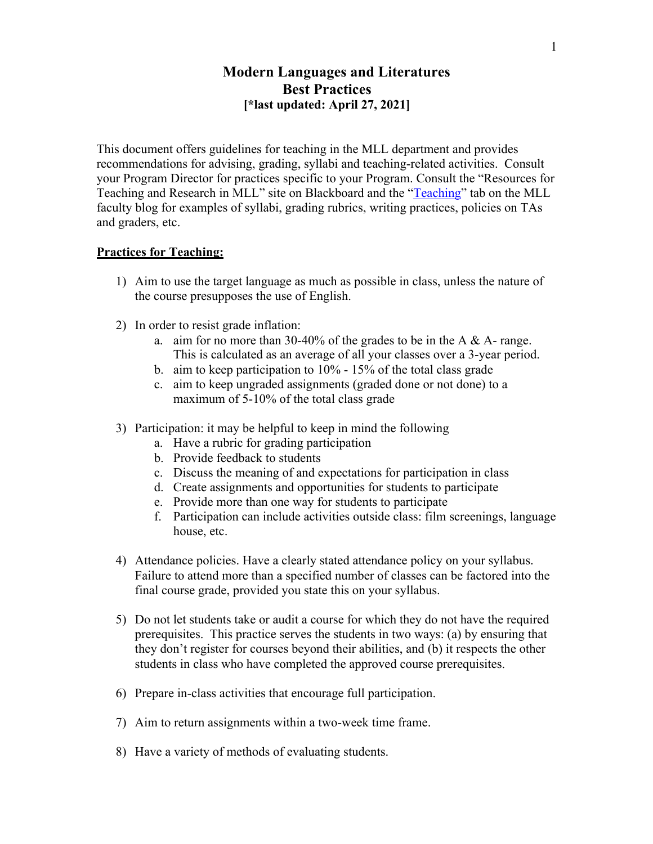# **Modern Languages and Literatures Best Practices [\*last updated: April 27, 2021]**

This document offers guidelines for teaching in the MLL department and provides recommendations for advising, grading, syllabi and teaching-related activities. Consult your Program Director for practices specific to your Program. Consult the "Resources for Teaching and Research in MLL" site on Blackboard and the "Teaching" tab on the MLL faculty blog for examples of syllabi, grading rubrics, writing practices, policies on TAs and graders, etc.

### **Practices for Teaching:**

- 1) Aim to use the target language as much as possible in class, unless the nature of the course presupposes the use of English.
- 2) In order to resist grade inflation:
	- a. aim for no more than 30-40% of the grades to be in the A & A- range. This is calculated as an average of all your classes over a 3-year period.
	- b. aim to keep participation to 10% 15% of the total class grade
	- c. aim to keep ungraded assignments (graded done or not done) to a maximum of 5-10% of the total class grade
- 3) Participation: it may be helpful to keep in mind the following
	- a. Have a rubric for grading participation
	- b. Provide feedback to students
	- c. Discuss the meaning of and expectations for participation in class
	- d. Create assignments and opportunities for students to participate
	- e. Provide more than one way for students to participate
	- f. Participation can include activities outside class: film screenings, language house, etc.
- 4) Attendance policies. Have a clearly stated attendance policy on your syllabus. Failure to attend more than a specified number of classes can be factored into the final course grade, provided you state this on your syllabus.
- 5) Do not let students take or audit a course for which they do not have the required prerequisites. This practice serves the students in two ways: (a) by ensuring that they don't register for courses beyond their abilities, and (b) it respects the other students in class who have completed the approved course prerequisites.
- 6) Prepare in-class activities that encourage full participation.
- 7) Aim to return assignments within a two-week time frame.
- 8) Have a variety of methods of evaluating students.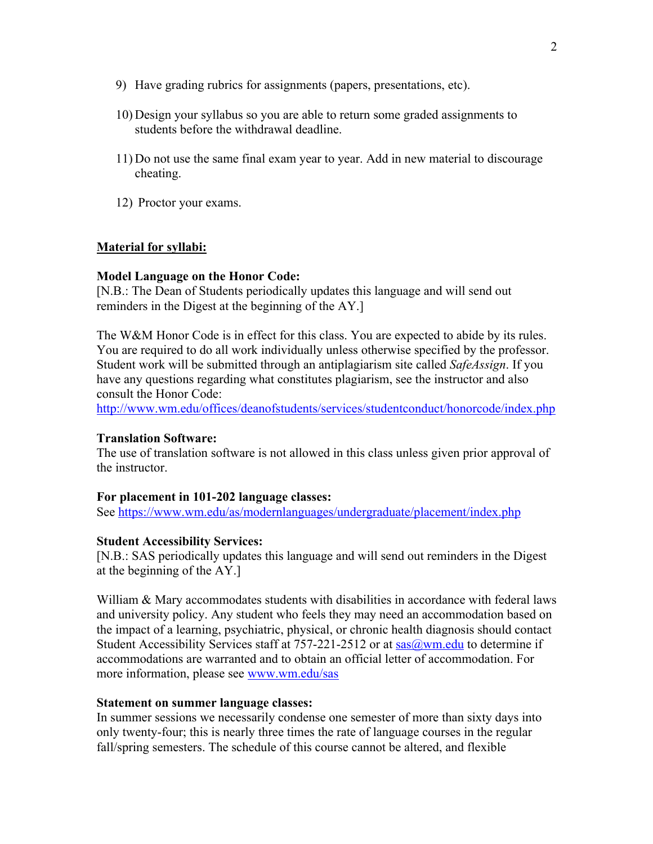- 9) Have grading rubrics for assignments (papers, presentations, etc).
- 10) Design your syllabus so you are able to return some graded assignments to students before the withdrawal deadline.
- 11) Do not use the same final exam year to year. Add in new material to discourage cheating.
- 12) Proctor your exams.

## **Material for syllabi:**

### **Model Language on the Honor Code:**

[N.B.: The Dean of Students periodically updates this language and will send out reminders in the Digest at the beginning of the AY.]

The W&M Honor Code is in effect for this class. You are expected to abide by its rules. You are required to do all work individually unless otherwise specified by the professor. Student work will be submitted through an antiplagiarism site called *SafeAssign*. If you have any questions regarding what constitutes plagiarism, see the instructor and also consult the Honor Code:

http://www.wm.edu/offices/deanofstudents/services/studentconduct/honorcode/index.php

### **Translation Software:**

The use of translation software is not allowed in this class unless given prior approval of the instructor.

## **For placement in 101-202 language classes:**

See https://www.wm.edu/as/modernlanguages/undergraduate/placement/index.php

### **Student Accessibility Services:**

[N.B.: SAS periodically updates this language and will send out reminders in the Digest at the beginning of the AY.]

William & Mary accommodates students with disabilities in accordance with federal laws and university policy. Any student who feels they may need an accommodation based on the impact of a learning, psychiatric, physical, or chronic health diagnosis should contact Student Accessibility Services staff at  $757-221-2512$  or at sas $@wm.edu$  to determine if accommodations are warranted and to obtain an official letter of accommodation. For more information, please see www.wm.edu/sas

### **Statement on summer language classes:**

In summer sessions we necessarily condense one semester of more than sixty days into only twenty-four; this is nearly three times the rate of language courses in the regular fall/spring semesters. The schedule of this course cannot be altered, and flexible